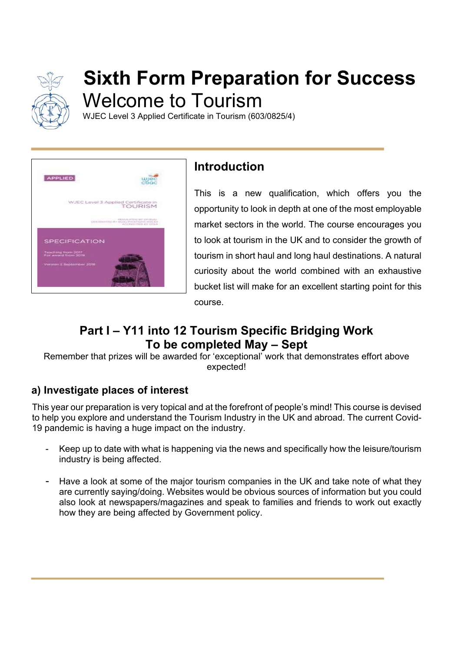

# **Sixth Form Preparation for Success**  Welcome to Tourism

WJEC Level 3 Applied Certificate in Tourism (603/0825/4)



# **Introduction**

This is a new qualification, which offers you the opportunity to look in depth at one of the most employable market sectors in the world. The course encourages you to look at tourism in the UK and to consider the growth of tourism in short haul and long haul destinations. A natural curiosity about the world combined with an exhaustive bucket list will make for an excellent starting point for this course.

# **Part I – Y11 into 12 Tourism Specific Bridging Work To be completed May – Sept**

Remember that prizes will be awarded for 'exceptional' work that demonstrates effort above expected!

## **a) Investigate places of interest**

This year our preparation is very topical and at the forefront of people's mind! This course is devised to help you explore and understand the Tourism Industry in the UK and abroad. The current Covid-19 pandemic is having a huge impact on the industry.

- Keep up to date with what is happening via the news and specifically how the leisure/tourism industry is being affected.
- Have a look at some of the major tourism companies in the UK and take note of what they are currently saying/doing. Websites would be obvious sources of information but you could also look at newspapers/magazines and speak to families and friends to work out exactly how they are being affected by Government policy.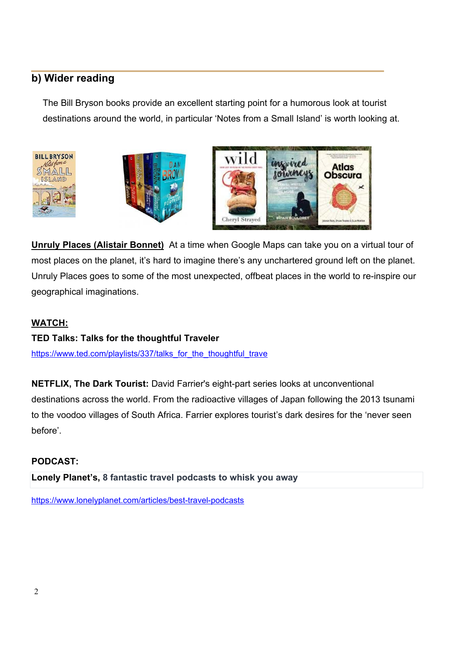### **b) Wider reading**

The Bill Bryson books provide an excellent starting point for a humorous look at tourist destinations around the world, in particular 'Notes from a Small Island' is worth looking at.







**Unruly Places (Alistair Bonnet)** At a time when Google Maps can take you on a virtual tour of most places on the planet, it's hard to imagine there's any unchartered ground left on the planet. Unruly Places goes to some of the most unexpected, offbeat places in the world to re-inspire our geographical imaginations.

#### **WATCH:**

#### **TED Talks: Talks for the thoughtful Traveler**

https://www.ted.com/playlists/337/talks\_for\_the\_thoughtful\_trave

**NETFLIX, The Dark Tourist:** David Farrier's eight-part series looks at unconventional destinations across the world. From the radioactive villages of Japan following the 2013 tsunami to the voodoo villages of South Africa. Farrier explores tourist's dark desires for the 'never seen before'.

#### **PODCAST:**

**Lonely Planet's, 8 fantastic travel podcasts to whisk you away** 

https://www.lonelyplanet.com/articles/best-travel-podcasts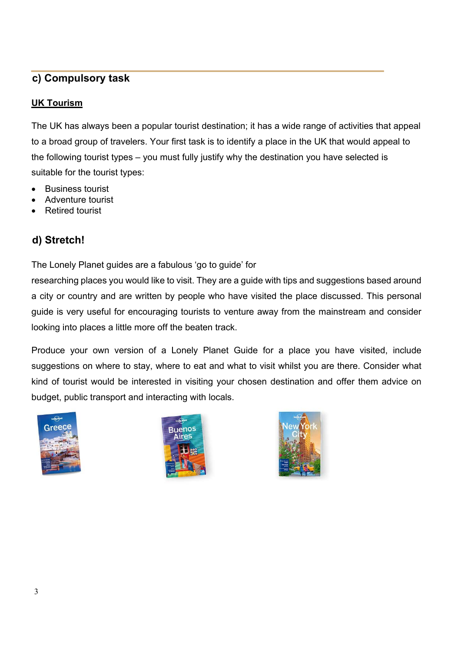## **c) Compulsory task**

#### **UK Tourism**

The UK has always been a popular tourist destination; it has a wide range of activities that appeal to a broad group of travelers. Your first task is to identify a place in the UK that would appeal to the following tourist types – you must fully justify why the destination you have selected is suitable for the tourist types:

- Business tourist
- Adventure tourist
- Retired tourist

## **d) Stretch!**

The Lonely Planet guides are a fabulous 'go to guide' for

researching places you would like to visit. They are a guide with tips and suggestions based around a city or country and are written by people who have visited the place discussed. This personal guide is very useful for encouraging tourists to venture away from the mainstream and consider looking into places a little more off the beaten track.

Produce your own version of a Lonely Planet Guide for a place you have visited, include suggestions on where to stay, where to eat and what to visit whilst you are there. Consider what kind of tourist would be interested in visiting your chosen destination and offer them advice on budget, public transport and interacting with locals.





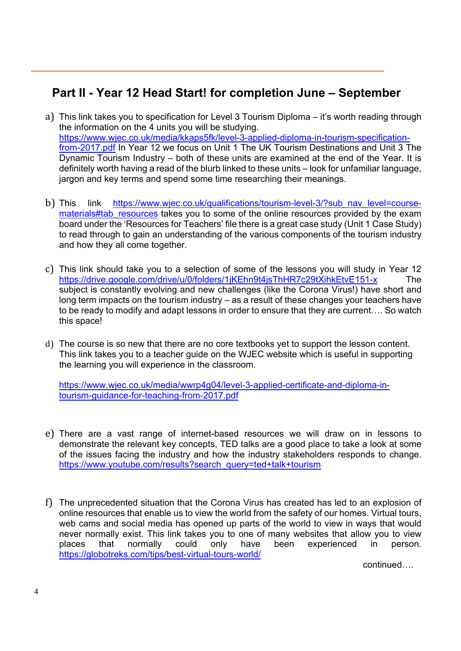# **Part II - Year 12 Head Start! for completion June – September**

- a) This link takes you to specification for Level 3 Tourism Diploma it's worth reading through the information on the 4 units you will be studying. https://www.wjec.co.uk/media/kkaps5fk/level-3-applied-diploma-in-tourism-specificationfrom-2017.pdf In Year 12 we focus on Unit 1 The UK Tourism Destinations and Unit 3 The Dynamic Tourism Industry – both of these units are examined at the end of the Year. It is definitely worth having a read of the blurb linked to these units – look for unfamiliar language, jargon and key terms and spend some time researching their meanings.
- b) This link https://www.wjec.co.uk/qualifications/tourism-level-3/?sub nav level=coursematerials#tab resources takes you to some of the online resources provided by the exam board under the 'Resources for Teachers' file there is a great case study (Unit 1 Case Study) to read through to gain an understanding of the various components of the tourism industry and how they all come together.
- c) This link should take you to a selection of some of the lessons you will study in Year 12 https://drive.google.com/drive/u/0/folders/1jKEhn9t4jsThHR7c29tXihkEtvE151-x The subject is constantly evolving and new challenges (like the Corona Virus!) have short and long term impacts on the tourism industry – as a result of these changes your teachers have to be ready to modify and adapt lessons in order to ensure that they are current…. So watch this space!
- d) The course is so new that there are no core textbooks yet to support the lesson content. This link takes you to a teacher guide on the WJEC website which is useful in supporting the learning you will experience in the classroom.

https://www.wjec.co.uk/media/wwrp4g04/level-3-applied-certificate-and-diploma-intourism-guidance-for-teaching-from-2017.pdf

- e) There are a vast range of internet-based resources we will draw on in lessons to demonstrate the relevant key concepts, TED talks are a good place to take a look at some of the issues facing the industry and how the industry stakeholders responds to change. https://www.youtube.com/results?search\_query=ted+talk+tourism
- f) The unprecedented situation that the Corona Virus has created has led to an explosion of online resources that enable us to view the world from the safety of our homes. Virtual tours, web cams and social media has opened up parts of the world to view in ways that would never normally exist. This link takes you to one of many websites that allow you to view places that normally could only have been experienced in person. https://globotreks.com/tips/best-virtual-tours-world/

continued….